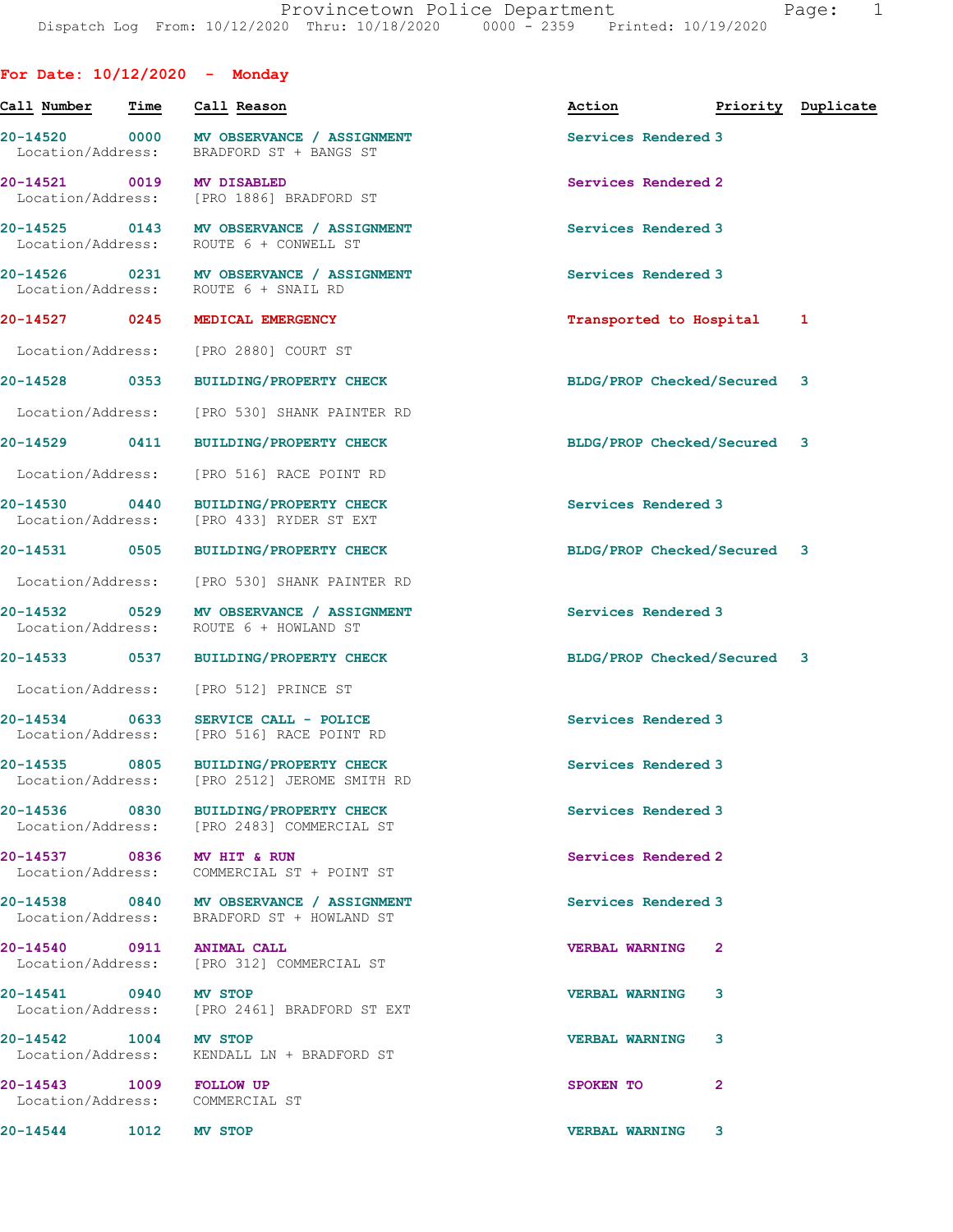| For Date: $10/12/2020 -$ Monday                            |                                                                                        |                                  |              |  |
|------------------------------------------------------------|----------------------------------------------------------------------------------------|----------------------------------|--------------|--|
| Call Number                                                | Time Call Reason                                                                       | Action <b>Priority</b> Duplicate |              |  |
|                                                            | 20-14520 0000 MV OBSERVANCE / ASSIGNMENT<br>Location/Address: BRADFORD ST + BANGS ST   | Services Rendered 3              |              |  |
| 20-14521 0019 MV DISABLED                                  | Location/Address: [PRO 1886] BRADFORD ST                                               | Services Rendered 2              |              |  |
|                                                            | 20-14525 0143 MV OBSERVANCE / ASSIGNMENT<br>Location/Address: ROUTE 6 + CONWELL ST     | Services Rendered 3              |              |  |
|                                                            | 20-14526 0231 MV OBSERVANCE / ASSIGNMENT<br>Location/Address: ROUTE 6 + SNAIL RD       | Services Rendered 3              |              |  |
|                                                            | 20-14527 0245 MEDICAL EMERGENCY                                                        | Transported to Hospital 1        |              |  |
|                                                            | Location/Address: [PRO 2880] COURT ST                                                  |                                  |              |  |
| 20-14528 0353                                              | BUILDING/PROPERTY CHECK                                                                | BLDG/PROP Checked/Secured 3      |              |  |
|                                                            | Location/Address: [PRO 530] SHANK PAINTER RD                                           |                                  |              |  |
|                                                            | 20-14529 0411 BUILDING/PROPERTY CHECK                                                  | BLDG/PROP Checked/Secured 3      |              |  |
|                                                            | Location/Address: [PRO 516] RACE POINT RD                                              |                                  |              |  |
| 20-14530 0440                                              | <b>BUILDING/PROPERTY CHECK</b><br>Location/Address: [PRO 433] RYDER ST EXT             | Services Rendered 3              |              |  |
|                                                            | 20-14531 0505 BUILDING/PROPERTY CHECK                                                  | BLDG/PROP Checked/Secured 3      |              |  |
|                                                            | Location/Address: [PRO 530] SHANK PAINTER RD                                           |                                  |              |  |
| Location/Address:                                          | 20-14532 0529 MV OBSERVANCE / ASSIGNMENT<br>ROUTE 6 + HOWLAND ST                       | Services Rendered 3              |              |  |
|                                                            | 20-14533 0537 BUILDING/PROPERTY CHECK                                                  | BLDG/PROP Checked/Secured 3      |              |  |
|                                                            | Location/Address: [PRO 512] PRINCE ST                                                  |                                  |              |  |
|                                                            | 20-14534 0633 SERVICE CALL - POLICE<br>Location/Address: [PRO 516] RACE POINT RD       | Services Rendered 3              |              |  |
|                                                            | 20-14535 0805 BUILDING/PROPERTY CHECK<br>Location/Address: [PRO 2512] JEROME SMITH RD  | Services Rendered 3              |              |  |
|                                                            | 20-14536 0830 BUILDING/PROPERTY CHECK<br>Location/Address: [PRO 2483] COMMERCIAL ST    | Services Rendered 3              |              |  |
| 20-14537 0836 MV HIT & RUN                                 | Location/Address: COMMERCIAL ST + POINT ST                                             | Services Rendered 2              |              |  |
|                                                            | 20-14538 0840 MV OBSERVANCE / ASSIGNMENT<br>Location/Address: BRADFORD ST + HOWLAND ST | Services Rendered 3              |              |  |
| 20-14540 0911 ANIMAL CALL                                  | Location/Address: [PRO 312] COMMERCIAL ST                                              | <b>VERBAL WARNING</b>            | $\mathbf{2}$ |  |
| 20-14541 0940 MV STOP                                      | Location/Address: [PRO 2461] BRADFORD ST EXT                                           | <b>VERBAL WARNING</b>            | 3            |  |
| 20-14542 1004 MV STOP                                      | Location/Address: KENDALL LN + BRADFORD ST                                             | <b>VERBAL WARNING</b>            | 3            |  |
| 20-14543 1009 FOLLOW UP<br>Location/Address: COMMERCIAL ST |                                                                                        | SPOKEN TO                        | $\mathbf{2}$ |  |
| 20-14544 1012 MV STOP                                      |                                                                                        | <b>VERBAL WARNING 3</b>          |              |  |
|                                                            |                                                                                        |                                  |              |  |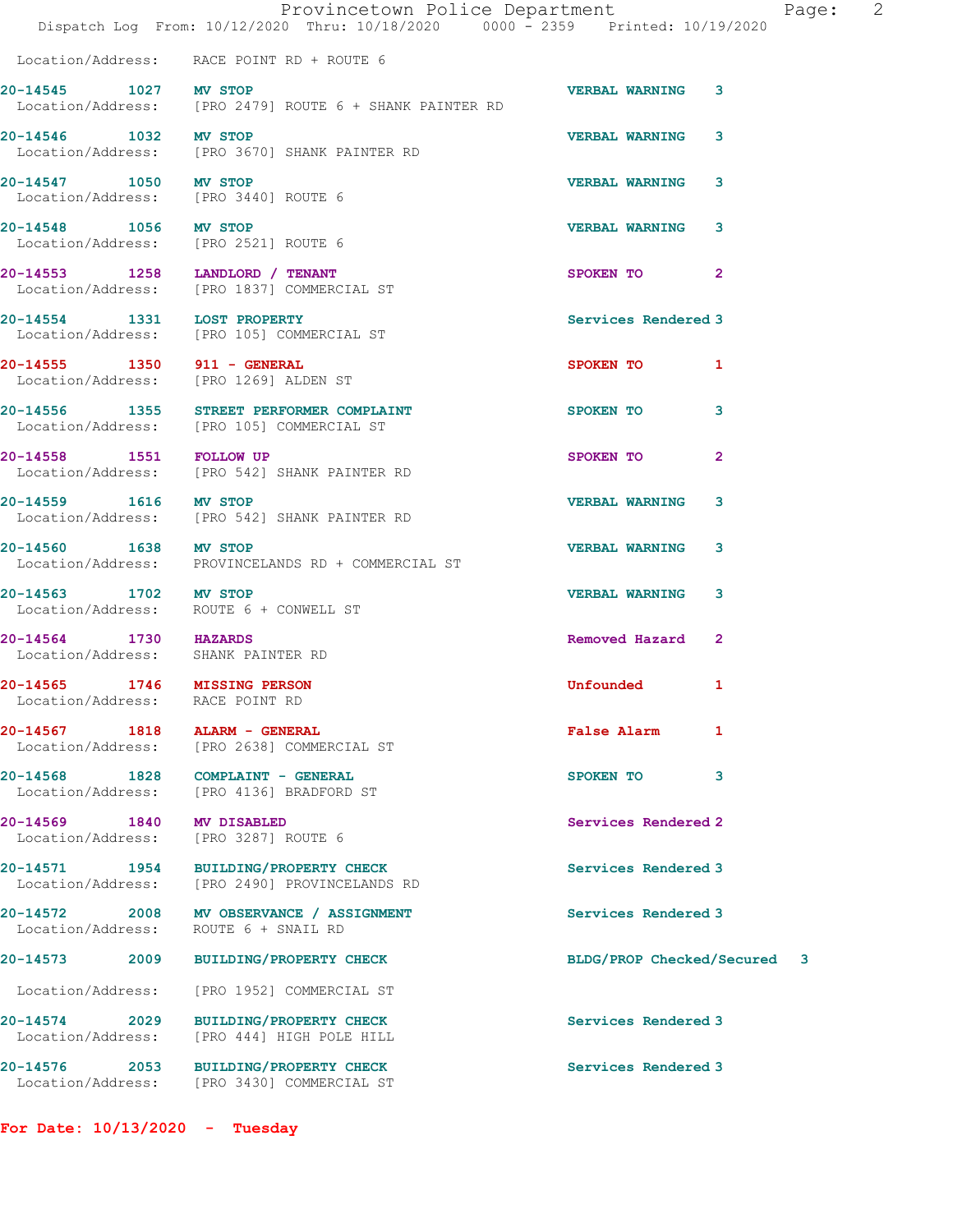|                                      | Provincetown Police Department<br>Dispatch Log From: 10/12/2020 Thru: 10/18/2020 0000 - 2359 Printed: 10/19/2020 |                                | - 2<br>Page: |
|--------------------------------------|------------------------------------------------------------------------------------------------------------------|--------------------------------|--------------|
|                                      | Location/Address: RACE POINT RD + ROUTE 6                                                                        |                                |              |
| 20-14545 1027 MV STOP                |                                                                                                                  | <b>VERBAL WARNING 3</b>        |              |
|                                      | Location/Address: [PRO 2479] ROUTE 6 + SHANK PAINTER RD                                                          |                                |              |
| 20-14546 1032 MV STOP                |                                                                                                                  | <b>VERBAL WARNING</b><br>3     |              |
|                                      | Location/Address: [PRO 3670] SHANK PAINTER RD                                                                    |                                |              |
| 20-14547 1050 MV STOP                |                                                                                                                  | <b>VERBAL WARNING</b><br>3     |              |
| Location/Address: [PRO 3440] ROUTE 6 |                                                                                                                  |                                |              |
| 20-14548 1056 MV STOP                |                                                                                                                  | <b>VERBAL WARNING</b><br>3     |              |
| Location/Address: [PRO 2521] ROUTE 6 |                                                                                                                  |                                |              |
|                                      |                                                                                                                  | $\overline{2}$<br>SPOKEN TO    |              |
|                                      | 20-14553 1258 LANDLORD / TENANT<br>Location/Address: [PRO 1837] COMMERCIAL ST                                    |                                |              |
|                                      |                                                                                                                  | Services Rendered 3            |              |
|                                      | 20-14554 1331 LOST PROPERTY<br>Location/Address: [PRO 105] COMMERCIAL ST                                         |                                |              |
|                                      |                                                                                                                  | SPOKEN TO<br>1                 |              |
|                                      | 20-14555   1350   911 - GENERAL<br>Location/Address: [PRO 1269] ALDEN ST                                         |                                |              |
|                                      | 20-14556 1355 STREET PERFORMER COMPLAINT                                                                         | 3<br>SPOKEN TO                 |              |
|                                      | Location/Address: [PRO 105] COMMERCIAL ST                                                                        |                                |              |
| 20-14558 1551 FOLLOW UP              |                                                                                                                  | $\overline{2}$<br>SPOKEN TO    |              |
|                                      | Location/Address: [PRO 542] SHANK PAINTER RD                                                                     |                                |              |
|                                      |                                                                                                                  |                                |              |
| 20-14559 1616 MV STOP                | Location/Address: [PRO 542] SHANK PAINTER RD                                                                     | <b>VERBAL WARNING</b><br>3     |              |
|                                      |                                                                                                                  |                                |              |
| 20-14560 1638 MV STOP                |                                                                                                                  | <b>VERBAL WARNING</b><br>3     |              |
|                                      | Location/Address: PROVINCELANDS RD + COMMERCIAL ST                                                               |                                |              |
| 20-14563 1702 MV STOP                |                                                                                                                  | <b>VERBAL WARNING</b><br>3     |              |
|                                      | Location/Address: ROUTE 6 + CONWELL ST                                                                           |                                |              |
| 20-14564 1730 HAZARDS                |                                                                                                                  | Removed Hazard<br>$\mathbf{2}$ |              |
| Location/Address: SHANK PAINTER RD   |                                                                                                                  |                                |              |
| 20-14565 1746 MISSING PERSON         |                                                                                                                  | Unfounded 1                    |              |
| Location/Address: RACE POINT RD      |                                                                                                                  |                                |              |
| 20-14567 1818                        | <b>ALARM - GENERAL</b>                                                                                           | <b>False Alarm</b><br>1        |              |
|                                      | Location/Address: [PRO 2638] COMMERCIAL ST                                                                       |                                |              |
|                                      | 20-14568 1828 COMPLAINT - GENERAL<br>Location/Address: [PRO 4136] BRADFORD ST                                    | SPOKEN TO<br>3                 |              |
|                                      |                                                                                                                  |                                |              |
| 20-14569 1840 MV DISABLED            |                                                                                                                  | Services Rendered 2            |              |
|                                      | Location/Address: [PRO 3287] ROUTE 6                                                                             |                                |              |
|                                      | 20-14571 1954 BUILDING/PROPERTY CHECK                                                                            | Services Rendered 3            |              |
|                                      | Location/Address: [PRO 2490] PROVINCELANDS RD                                                                    |                                |              |
|                                      | 20-14572 2008 MV OBSERVANCE / ASSIGNMENT                                                                         | Services Rendered 3            |              |
| Location/Address:                    | ROUTE 6 + SNAIL RD                                                                                               |                                |              |
|                                      | 20-14573 2009 BUILDING/PROPERTY CHECK                                                                            | BLDG/PROP Checked/Secured 3    |              |
| Location/Address:                    | [PRO 1952] COMMERCIAL ST                                                                                         |                                |              |
|                                      |                                                                                                                  |                                |              |
|                                      | 20-14574 2029 BUILDING/PROPERTY CHECK                                                                            | Services Rendered 3            |              |
| Location/Address:                    | [PRO 444] HIGH POLE HILL                                                                                         |                                |              |
|                                      | 20-14576 2053 BUILDING/PROPERTY CHECK                                                                            | Services Rendered 3            |              |
|                                      | Location/Address: [PRO 3430] COMMERCIAL ST                                                                       |                                |              |

For Date: 10/13/2020 - Tuesday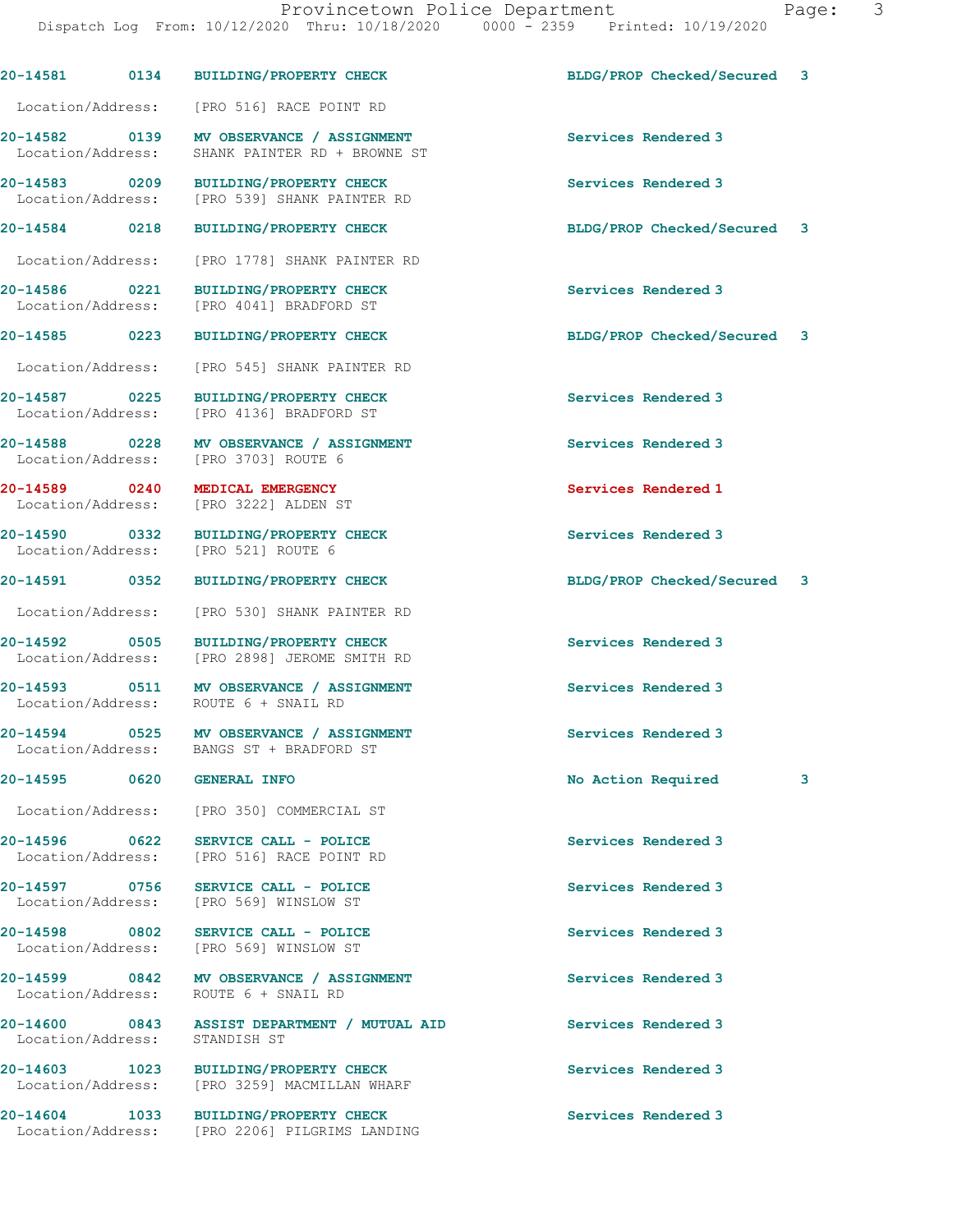|                                    |      | 20-14581 0134 BUILDING/PROPERTY CHECK                                                 | BLDG/PROP Checked/Secured 3 |   |
|------------------------------------|------|---------------------------------------------------------------------------------------|-----------------------------|---|
| Location/Address:                  |      | [PRO 516] RACE POINT RD                                                               |                             |   |
| 20-14582 0139<br>Location/Address: |      | MV OBSERVANCE / ASSIGNMENT<br>SHANK PAINTER RD + BROWNE ST                            | Services Rendered 3         |   |
| 20-14583 0209<br>Location/Address: |      | <b>BUILDING/PROPERTY CHECK</b><br>[PRO 539] SHANK PAINTER RD                          | Services Rendered 3         |   |
| 20-14584 0218                      |      | <b>BUILDING/PROPERTY CHECK</b>                                                        | BLDG/PROP Checked/Secured   | 3 |
| Location/Address:                  |      | [PRO 1778] SHANK PAINTER RD                                                           |                             |   |
| 20-14586 0221<br>Location/Address: |      | <b>BUILDING/PROPERTY CHECK</b><br>[PRO 4041] BRADFORD ST                              | Services Rendered 3         |   |
| 20-14585 0223                      |      | <b>BUILDING/PROPERTY CHECK</b>                                                        | BLDG/PROP Checked/Secured 3 |   |
| Location/Address:                  |      | [PRO 545] SHANK PAINTER RD                                                            |                             |   |
| 20-14587 0225<br>Location/Address: |      | <b>BUILDING/PROPERTY CHECK</b><br>[PRO 4136] BRADFORD ST                              | Services Rendered 3         |   |
| 20-14588 0228<br>Location/Address: |      | MV OBSERVANCE / ASSIGNMENT<br>[PRO 3703] ROUTE 6                                      | Services Rendered 3         |   |
| 20-14589 0240<br>Location/Address: |      | MEDICAL EMERGENCY<br>[PRO 3222] ALDEN ST                                              | Services Rendered 1         |   |
| 20-14590 0332<br>Location/Address: |      | <b>BUILDING/PROPERTY CHECK</b><br>[PRO 521] ROUTE 6                                   | Services Rendered 3         |   |
| 20-14591 0352                      |      | <b>BUILDING/PROPERTY CHECK</b>                                                        | BLDG/PROP Checked/Secured 3 |   |
| Location/Address:                  |      | [PRO 530] SHANK PAINTER RD                                                            |                             |   |
| 20-14592 0505<br>Location/Address: |      | <b>BUILDING/PROPERTY CHECK</b><br>[PRO 2898] JEROME SMITH RD                          | Services Rendered 3         |   |
| 20-14593 0511                      |      | MV OBSERVANCE / ASSIGNMENT<br>Location/Address: ROUTE 6 + SNAIL RD                    | Services Rendered 3         |   |
| 20-14594 0525                      |      | MV OBSERVANCE / ASSIGNMENT<br>Location/Address: BANGS ST + BRADFORD ST                | Services Rendered 3         |   |
| 20-14595                           | 0620 | <b>GENERAL INFO</b>                                                                   | No Action Required          | 3 |
|                                    |      | Location/Address: [PRO 350] COMMERCIAL ST                                             |                             |   |
| 20-14596 0622                      |      | SERVICE CALL - POLICE<br>Location/Address: [PRO 516] RACE POINT RD                    | Services Rendered 3         |   |
| 20-14597 0756                      |      | SERVICE CALL - POLICE<br>Location/Address: [PRO 569] WINSLOW ST                       | Services Rendered 3         |   |
|                                    |      | 20-14598 0802 SERVICE CALL - POLICE<br>Location/Address: [PRO 569] WINSLOW ST         | Services Rendered 3         |   |
|                                    |      | 20-14599 0842 MV OBSERVANCE / ASSIGNMENT<br>Location/Address: ROUTE 6 + SNAIL RD      | Services Rendered 3         |   |
| Location/Address:                  |      | 20-14600 0843 ASSIST DEPARTMENT / MUTUAL AID<br>STANDISH ST                           | Services Rendered 3         |   |
|                                    |      | 20-14603 1023 BUILDING/PROPERTY CHECK<br>Location/Address: [PRO 3259] MACMILLAN WHARF | Services Rendered 3         |   |
| 20-14604<br>Location/Address:      | 1033 | <b>BUILDING/PROPERTY CHECK</b><br>[PRO 2206] PILGRIMS LANDING                         | Services Rendered 3         |   |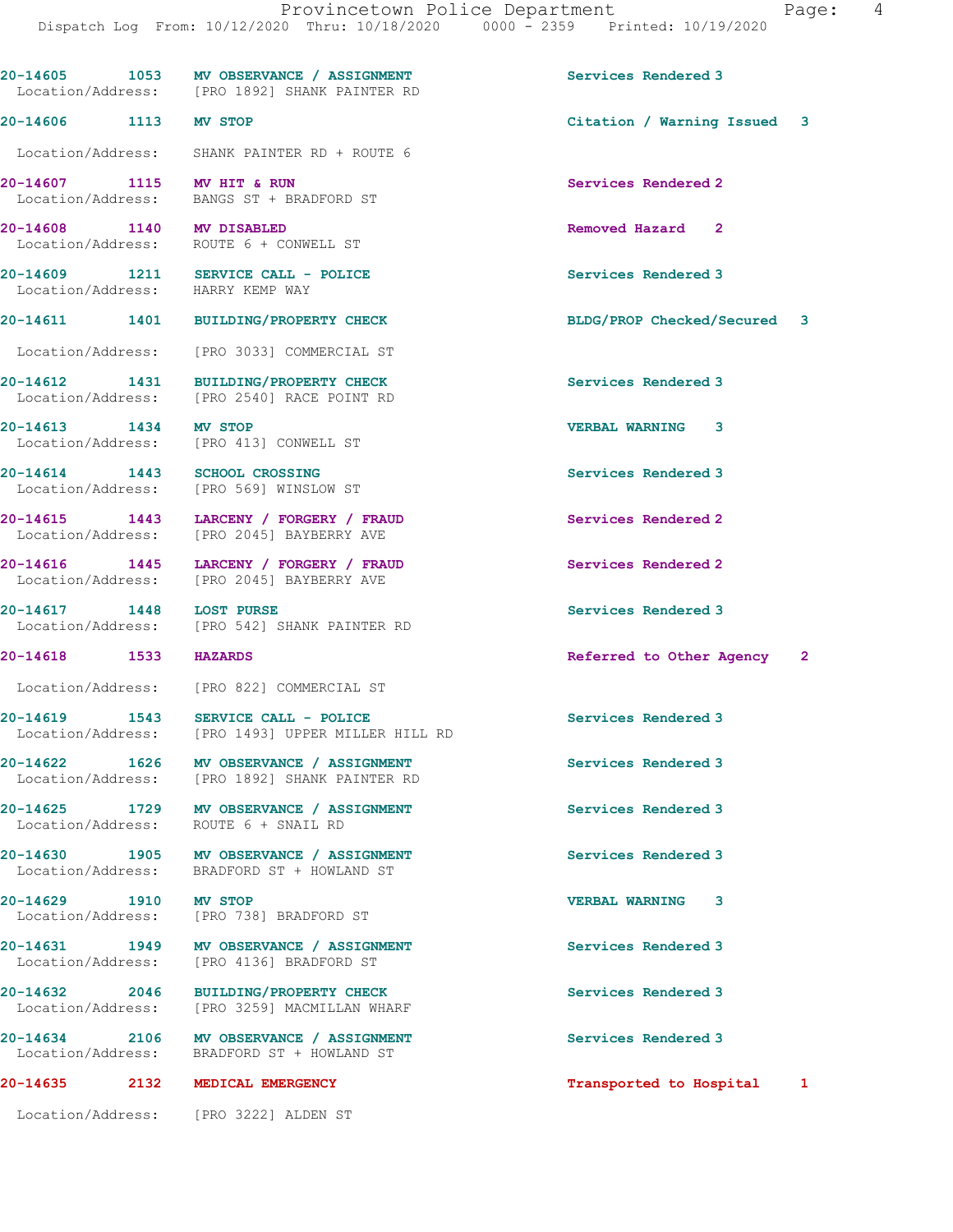20-14608 1140 MV DISABLED Removed Hazard 2 Location/Address: ROUTE 6 + CONWELL ST 20-14609 1211 SERVICE CALL - POLICE 2001 Services Rendered 3 Location/Address: HARRY KEMP WAY 20-14611 1401 BUILDING/PROPERTY CHECK BLDG/PROP Checked/Secured 3 Location/Address: [PRO 3033] COMMERCIAL ST 20-14612 1431 BUILDING/PROPERTY CHECK Services Rendered 3 Location/Address: [PRO 2540] RACE POINT RD 20-14613 1434 MV STOP VERBAL WARNING 3<br>
Location/Address: [PRO 413] CONWELL ST [PRO 413] CONWELL ST 20-14614 1443 SCHOOL CROSSING Services Rendered 3 Location/Address: [PRO 569] WINSLOW ST 20-14615 1443 LARCENY / FORGERY / FRAUD Services Rendered 2 Location/Address: [PRO 2045] BAYBERRY AVE 20-14616 1445 LARCENY / FORGERY / FRAUD Services Rendered 2<br>
Location/Address: [PRO 2045] BAYBERRY AVE [PRO 2045] BAYBERRY AVE 20-14617 1448 LOST PURSE<br>
Location/Address: [PRO 542] SHANK PAINTER RD<br>
Location/Address: [PRO 542] SHANK PAINTER RD [PRO 542] SHANK PAINTER RD 20-14618 1533 HAZARDS Referred to Other Agency 2 Location/Address: [PRO 822] COMMERCIAL ST 20-14619 1543 SERVICE CALL - POLICE 20 Services Rendered 3 Location/Address: [PRO 1493] UPPER MILLER HILL RD 20-14622 1626 MV OBSERVANCE / ASSIGNMENT Services Rendered 3 Location/Address: [PRO 1892] SHANK PAINTER RD 20-14625 1729 MV OBSERVANCE / ASSIGNMENT Services Rendered 3 Location/Address: ROUTE 6 + SNAIL RD 20-14630 1905 MV OBSERVANCE / ASSIGNMENT Services Rendered 3<br>
Location/Address: BRADFORD ST + HOWLAND ST BRADFORD ST + HOWLAND ST 20-14629 1910 MV STOP 1988 1999 20-14629 VERBAL WARNING 3<br>
Location/Address: [PRO 738] BRADFORD ST [PRO 738] BRADFORD ST 20-14631 1949 MV OBSERVANCE / ASSIGNMENT Services Rendered 3 Location/Address: [PRO 4136] BRADFORD ST

20-14632 2046 BUILDING/PROPERTY CHECK Services Rendered 3 Location/Address: [PRO 3259] MACMILLAN WHARF

20-14634 2106 MV OBSERVANCE / ASSIGNMENT Services Rendered 3 Location/Address: BRADFORD ST + HOWLAND ST

Location/Address: [PRO 1892] SHANK PAINTER RD

Location/Address: SHANK PAINTER RD + ROUTE 6

Location/Address: BANGS ST + BRADFORD ST

Location/Address: [PRO 3222] ALDEN ST

20-14605 1053 MV OBSERVANCE / ASSIGNMENT Services Rendered 3

20-14606 1113 MV STOP Citation / Warning Issued 3

20-14607 1115 MV HIT & RUN Services Rendered 2

20-14635 2132 MEDICAL EMERGENCY Transported to Hospital 1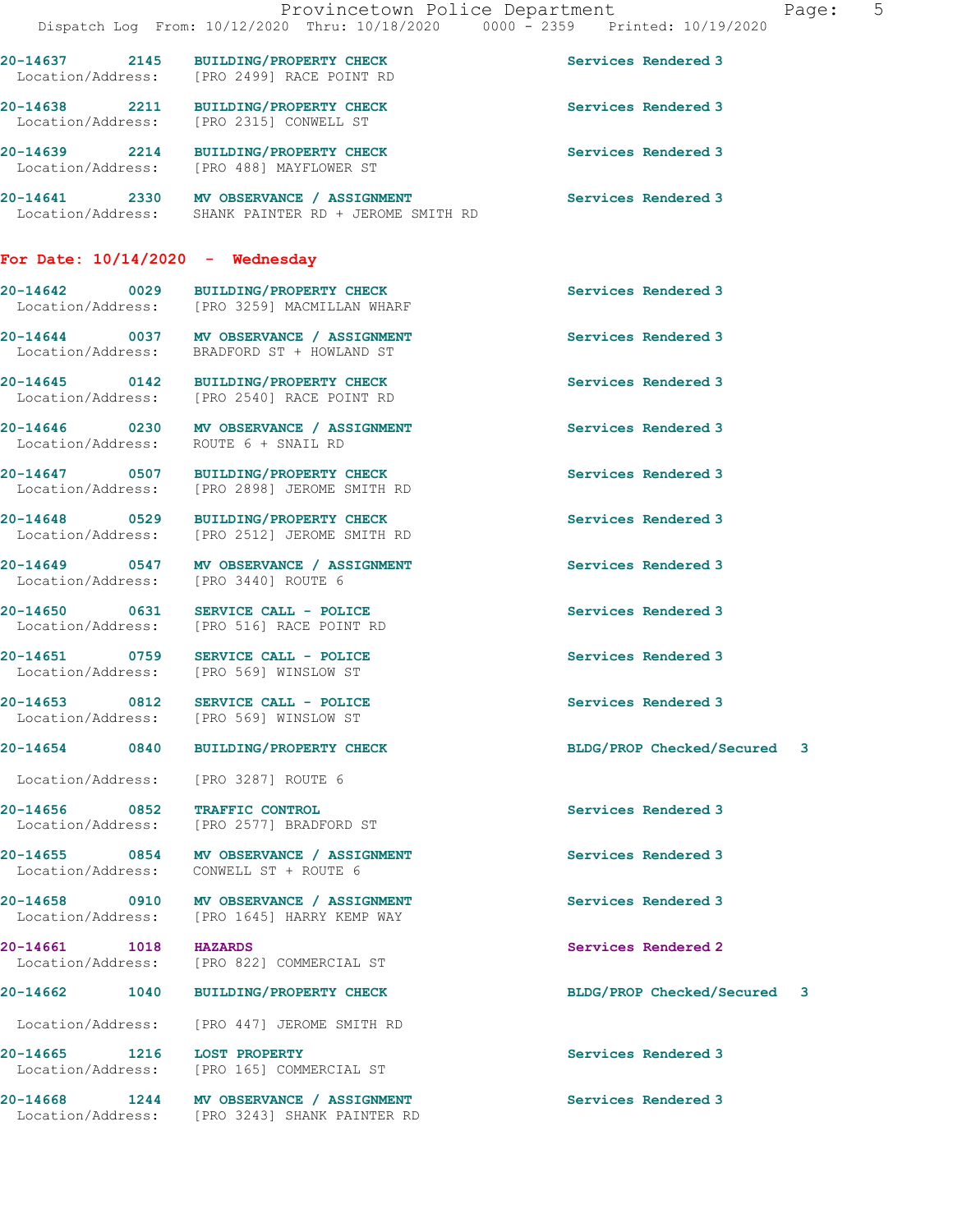|                                    | Provincetown Police Department<br>Dispatch Log From: 10/12/2020 Thru: 10/18/2020 0000 - 2359 Printed: 10/19/2020 |                             | Page: | 5 |
|------------------------------------|------------------------------------------------------------------------------------------------------------------|-----------------------------|-------|---|
| 20-14637 2145                      | BUILDING/PROPERTY CHECK<br>Location/Address: [PRO 2499] RACE POINT RD                                            | Services Rendered 3         |       |   |
|                                    | 20-14638 2211 BUILDING/PROPERTY CHECK<br>Location/Address: [PRO 2315] CONWELL ST                                 | Services Rendered 3         |       |   |
|                                    | 20-14639 2214 BUILDING/PROPERTY CHECK<br>Location/Address: [PRO 488] MAYFLOWER ST                                | Services Rendered 3         |       |   |
|                                    | 20-14641 2330 MV OBSERVANCE / ASSIGNMENT<br>Location/Address: SHANK PAINTER RD + JEROME SMITH RD                 | Services Rendered 3         |       |   |
| For Date: $10/14/2020$ - Wednesday |                                                                                                                  |                             |       |   |
| 20-14642 0029                      | <b>BUILDING/PROPERTY CHECK</b><br>Location/Address: [PRO 3259] MACMILLAN WHARF                                   | Services Rendered 3         |       |   |
|                                    | 20-14644 0037 MV OBSERVANCE / ASSIGNMENT<br>Location/Address: BRADFORD ST + HOWLAND ST                           | Services Rendered 3         |       |   |
|                                    | 20-14645 0142 BUILDING/PROPERTY CHECK<br>Location/Address: [PRO 2540] RACE POINT RD                              | Services Rendered 3         |       |   |
|                                    | 20-14646 0230 MV OBSERVANCE / ASSIGNMENT<br>Location/Address: ROUTE 6 + SNAIL RD                                 | Services Rendered 3         |       |   |
|                                    | 20-14647 0507 BUILDING/PROPERTY CHECK<br>Location/Address: [PRO 2898] JEROME SMITH RD                            | Services Rendered 3         |       |   |
|                                    | 20-14648 0529 BUILDING/PROPERTY CHECK<br>Location/Address: [PRO 2512] JEROME SMITH RD                            | Services Rendered 3         |       |   |
|                                    | 20-14649 0547 MV OBSERVANCE / ASSIGNMENT<br>Location/Address: [PRO 3440] ROUTE 6                                 | Services Rendered 3         |       |   |
|                                    | 20-14650 0631 SERVICE CALL - POLICE<br>Location/Address: [PRO 516] RACE POINT RD                                 | Services Rendered 3         |       |   |
|                                    | 20-14651 0759 SERVICE CALL - POLICE<br>Location/Address: [PRO 569] WINSLOW ST                                    | Services Rendered 3         |       |   |
| 20-14653 0812                      | SERVICE CALL - POLICE<br>Location/Address: [PRO 569] WINSLOW ST                                                  | Services Rendered 3         |       |   |
| 20-14654 0840                      | BUILDING/PROPERTY CHECK                                                                                          | BLDG/PROP Checked/Secured 3 |       |   |
| Location/Address:                  | [PRO 3287] ROUTE 6                                                                                               |                             |       |   |
| 20-14656 0852                      | <b>TRAFFIC CONTROL</b><br>Location/Address: [PRO 2577] BRADFORD ST                                               | Services Rendered 3         |       |   |
| 20-14655 0854<br>Location/Address: | MV OBSERVANCE / ASSIGNMENT<br>CONWELL ST + ROUTE 6                                                               | Services Rendered 3         |       |   |
|                                    | 20-14658 0910 MV OBSERVANCE / ASSIGNMENT<br>Location/Address: [PRO 1645] HARRY KEMP WAY                          | Services Rendered 3         |       |   |
| 20-14661 1018                      | <b>HAZARDS</b><br>Location/Address: [PRO 822] COMMERCIAL ST                                                      | Services Rendered 2         |       |   |
| 20-14662<br>1040                   | <b>BUILDING/PROPERTY CHECK</b>                                                                                   | BLDG/PROP Checked/Secured 3 |       |   |
| Location/Address:                  | [PRO 447] JEROME SMITH RD                                                                                        |                             |       |   |
| 20-14665 1216 LOST PROPERTY        | Location/Address: [PRO 165] COMMERCIAL ST                                                                        | Services Rendered 3         |       |   |
|                                    | 20-14668 1244 MV OBSERVANCE / ASSIGNMENT<br>Location/Address: [PRO 3243] SHANK PAINTER RD                        | Services Rendered 3         |       |   |
|                                    |                                                                                                                  |                             |       |   |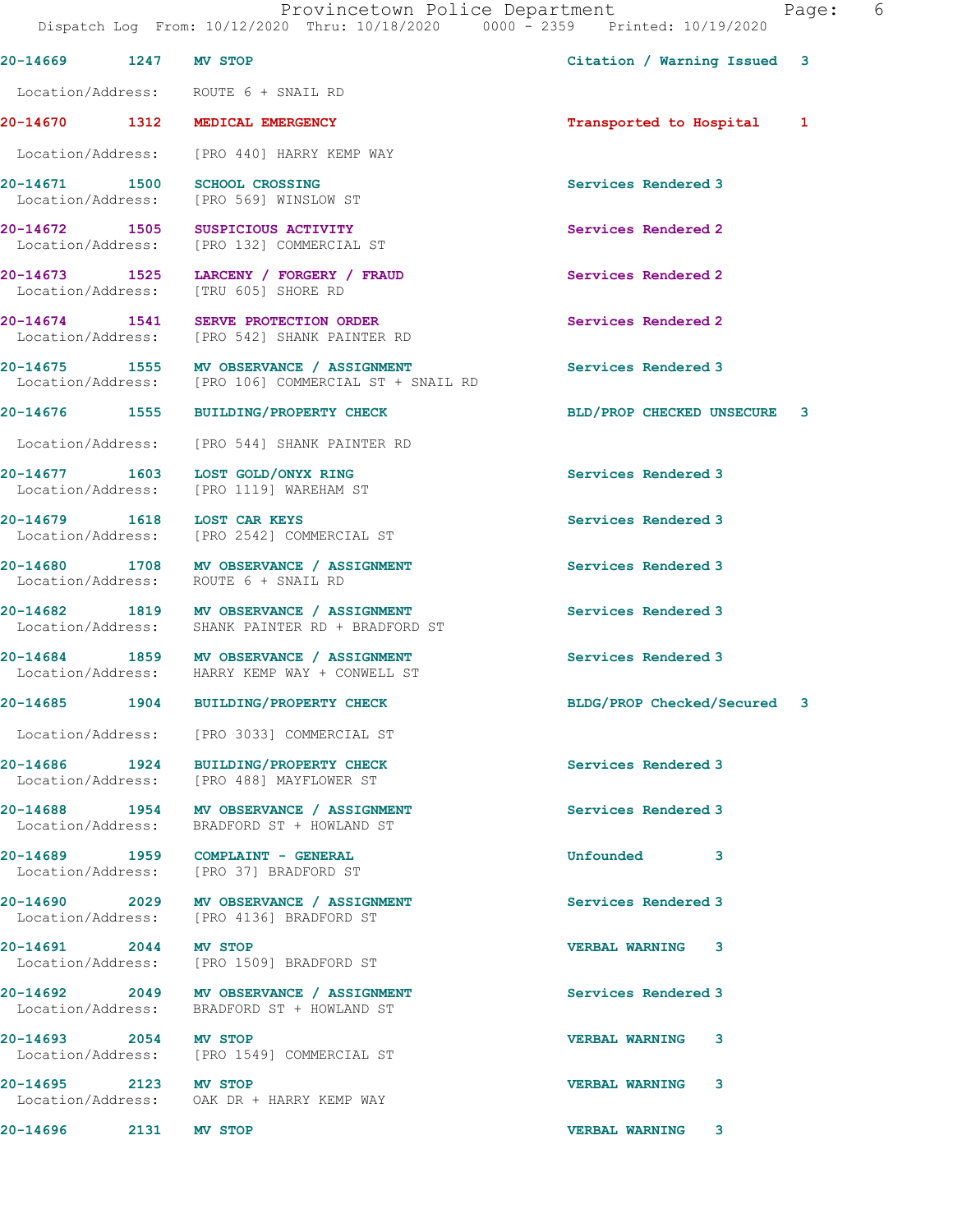|                                                       | Dispatch Log From: 10/12/2020 Thru: 10/18/2020 0000 - 2359 Printed: 10/19/2020               |                             |  |
|-------------------------------------------------------|----------------------------------------------------------------------------------------------|-----------------------------|--|
| 20-14669 1247                                         | <b>MV STOP</b>                                                                               | Citation / Warning Issued 3 |  |
| Location/Address: ROUTE 6 + SNAIL RD                  |                                                                                              |                             |  |
| 20-14670 1312 MEDICAL EMERGENCY                       |                                                                                              | Transported to Hospital 1   |  |
|                                                       | Location/Address: [PRO 440] HARRY KEMP WAY                                                   |                             |  |
| 20-14671 1500                                         | <b>SCHOOL CROSSING</b><br>Location/Address: [PRO 569] WINSLOW ST                             | Services Rendered 3         |  |
| 20-14672 1505                                         | SUSPICIOUS ACTIVITY<br>Location/Address: [PRO 132] COMMERCIAL ST                             | Services Rendered 2         |  |
| 20-14673 1525<br>Location/Address: [TRU 605] SHORE RD | LARCENY / FORGERY / FRAUD                                                                    | Services Rendered 2         |  |
|                                                       | 20-14674 1541 SERVE PROTECTION ORDER<br>Location/Address: [PRO 542] SHANK PAINTER RD         | Services Rendered 2         |  |
| Location/Address:                                     | 20-14675 1555 MV OBSERVANCE / ASSIGNMENT<br>[PRO 106] COMMERCIAL ST + SNAIL RD               | Services Rendered 3         |  |
|                                                       | 20-14676 1555 BUILDING/PROPERTY CHECK                                                        | BLD/PROP CHECKED UNSECURE 3 |  |
|                                                       | Location/Address: [PRO 544] SHANK PAINTER RD                                                 |                             |  |
| 20-14677 1603                                         | LOST GOLD/ONYX RING<br>Location/Address: [PRO 1119] WAREHAM ST                               | Services Rendered 3         |  |
| 20-14679 1618                                         | LOST CAR KEYS<br>Location/Address: [PRO 2542] COMMERCIAL ST                                  | Services Rendered 3         |  |
| Location/Address: ROUTE 6 + SNAIL RD                  | 20-14680 1708 MV OBSERVANCE / ASSIGNMENT                                                     | Services Rendered 3         |  |
|                                                       | 20-14682 1819 MV OBSERVANCE / ASSIGNMENT<br>Location/Address: SHANK PAINTER RD + BRADFORD ST | Services Rendered 3         |  |
|                                                       | 20-14684 1859 MV OBSERVANCE / ASSIGNMENT<br>Location/Address: HARRY KEMP WAY + CONWELL ST    | Services Rendered 3         |  |
|                                                       | 20-14685 1904 BUILDING/PROPERTY CHECK                                                        | BLDG/PROP Checked/Secured 3 |  |
|                                                       | Location/Address: [PRO 3033] COMMERCIAL ST                                                   |                             |  |
|                                                       | 20-14686 1924 BUILDING/PROPERTY CHECK<br>Location/Address: [PRO 488] MAYFLOWER ST            | Services Rendered 3         |  |
|                                                       | 20-14688 1954 MV OBSERVANCE / ASSIGNMENT<br>Location/Address: BRADFORD ST + HOWLAND ST       | Services Rendered 3         |  |
|                                                       | Location/Address: [PRO 37] BRADFORD ST                                                       | <b>Unfounded</b><br>3       |  |
|                                                       | 20-14690 2029 MV OBSERVANCE / ASSIGNMENT<br>Location/Address: [PRO 4136] BRADFORD ST         | Services Rendered 3         |  |
| 20-14691 2044 MV STOP                                 | Location/Address: [PRO 1509] BRADFORD ST                                                     | <b>VERBAL WARNING</b><br>3  |  |
|                                                       | 20-14692 2049 MV OBSERVANCE / ASSIGNMENT<br>Location/Address: BRADFORD ST + HOWLAND ST       | Services Rendered 3         |  |
| 20-14693 2054 MV STOP                                 | Location/Address: [PRO 1549] COMMERCIAL ST                                                   | <b>VERBAL WARNING</b><br>3  |  |
| 20-14695 2123 MV STOP                                 | Location/Address: OAK DR + HARRY KEMP WAY                                                    | <b>VERBAL WARNING</b><br>3  |  |
| 20-14696 2014<br>2131                                 | MV STOP                                                                                      | <b>VERBAL WARNING</b><br>3  |  |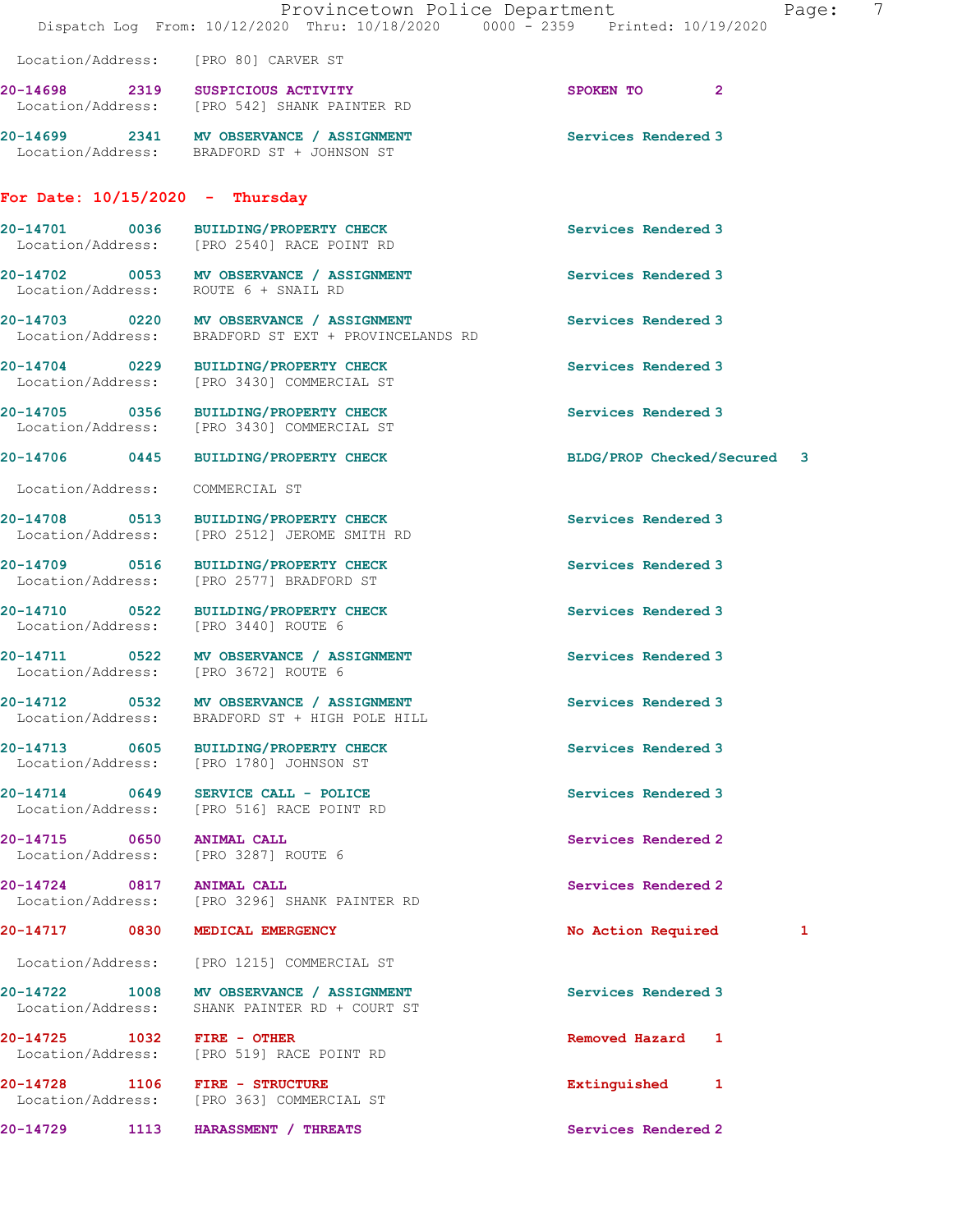|                                                                   | Provincetown Police Department<br>Dispatch Log From: 10/12/2020 Thru: 10/18/2020 0000 - 2359 Printed: 10/19/2020 | 7<br>Page:                  |
|-------------------------------------------------------------------|------------------------------------------------------------------------------------------------------------------|-----------------------------|
|                                                                   | Location/Address: [PRO 80] CARVER ST                                                                             |                             |
|                                                                   | 20-14698 2319 SUSPICIOUS ACTIVITY<br>Location/Address: [PRO 542] SHANK PAINTER RD                                | SPOKEN TO 2                 |
|                                                                   | 20-14699 2341 MV OBSERVANCE / ASSIGNMENT<br>Location/Address: BRADFORD ST + JOHNSON ST                           | Services Rendered 3         |
| For Date: $10/15/2020 -$ Thursday                                 |                                                                                                                  |                             |
|                                                                   | 20-14701 0036 BUILDING/PROPERTY CHECK<br>Location/Address: [PRO 2540] RACE POINT RD                              | Services Rendered 3         |
|                                                                   | 20-14702 0053 MV OBSERVANCE / ASSIGNMENT<br>Location/Address: ROUTE 6 + SNAIL RD                                 | Services Rendered 3         |
|                                                                   | 20-14703 0220 MV OBSERVANCE / ASSIGNMENT<br>Location/Address: BRADFORD ST EXT + PROVINCELANDS RD                 | Services Rendered 3         |
|                                                                   | 20-14704 0229 BUILDING/PROPERTY CHECK<br>Location/Address: [PRO 3430] COMMERCIAL ST                              | Services Rendered 3         |
|                                                                   | 20-14705 0356 BUILDING/PROPERTY CHECK<br>Location/Address: [PRO 3430] COMMERCIAL ST                              | Services Rendered 3         |
|                                                                   | 20-14706 0445 BUILDING/PROPERTY CHECK                                                                            | BLDG/PROP Checked/Secured 3 |
| Location/Address: COMMERCIAL ST                                   |                                                                                                                  |                             |
|                                                                   | 20-14708 0513 BUILDING/PROPERTY CHECK<br>Location/Address: [PRO 2512] JEROME SMITH RD                            | Services Rendered 3         |
|                                                                   | 20-14709 0516 BUILDING/PROPERTY CHECK<br>Location/Address: [PRO 2577] BRADFORD ST                                | Services Rendered 3         |
| Location/Address: [PRO 3440] ROUTE 6                              | 20-14710 0522 BUILDING/PROPERTY CHECK                                                                            | Services Rendered 3         |
| Location/Address: [PRO 3672] ROUTE 6                              | 20-14711 0522 MV OBSERVANCE / ASSIGNMENT                                                                         | Services Rendered 3         |
| Location/Address:                                                 | 20-14712 0532 MV OBSERVANCE / ASSIGNMENT<br>BRADFORD ST + HIGH POLE HILL                                         | Services Rendered 3         |
|                                                                   | 20-14713 0605 BUILDING/PROPERTY CHECK<br>Location/Address: [PRO 1780] JOHNSON ST                                 | Services Rendered 3         |
|                                                                   | 20-14714 0649 SERVICE CALL - POLICE<br>Location/Address: [PRO 516] RACE POINT RD                                 | Services Rendered 3         |
| 20-14715 0650 ANIMAL CALL<br>Location/Address: [PRO 3287] ROUTE 6 |                                                                                                                  | Services Rendered 2         |
| 20-14724 0817 ANIMAL CALL                                         | Location/Address: [PRO 3296] SHANK PAINTER RD                                                                    | Services Rendered 2         |
| 20-14717 0830 MEDICAL EMERGENCY                                   |                                                                                                                  | No Action Required<br>1     |
|                                                                   | Location/Address: [PRO 1215] COMMERCIAL ST                                                                       |                             |
|                                                                   | 20-14722 1008 MV OBSERVANCE / ASSIGNMENT<br>Location/Address: SHANK PAINTER RD + COURT ST                        | Services Rendered 3         |
| 20-14725 1032 FIRE - OTHER                                        | Location/Address: [PRO 519] RACE POINT RD                                                                        | Removed Hazard 1            |
| 20-14728 1106 FIRE - STRUCTURE                                    | Location/Address: [PRO 363] COMMERCIAL ST                                                                        | Extinguished 1              |
|                                                                   | 20-14729 1113 HARASSMENT / THREATS                                                                               | Services Rendered 2         |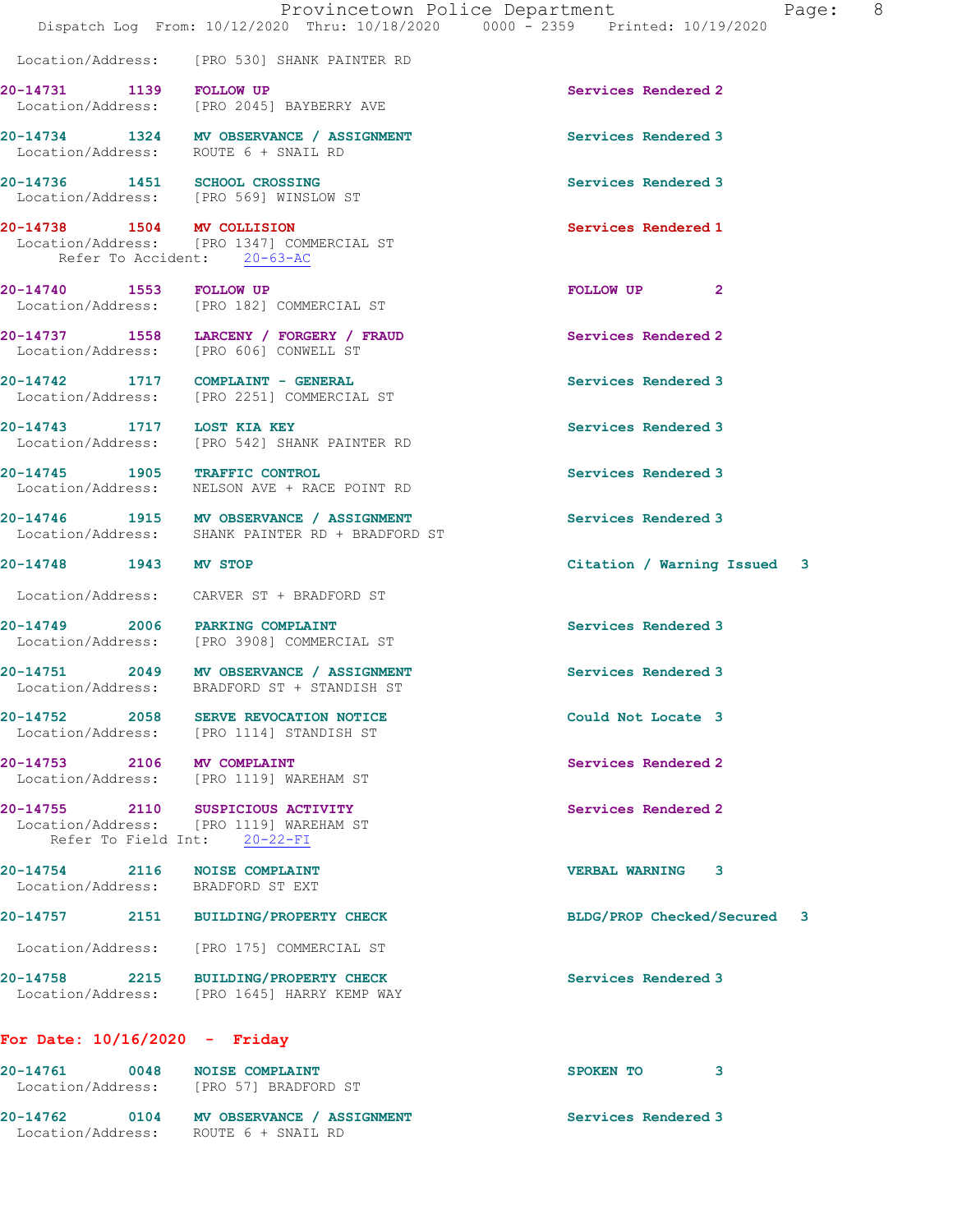|                                 |      | Provincetown Police Department<br>Dispatch Log From: 10/12/2020 Thru: 10/18/2020 0000 - 2359 Printed: 10/19/2020 |                             | 8<br>Page: |
|---------------------------------|------|------------------------------------------------------------------------------------------------------------------|-----------------------------|------------|
|                                 |      | Location/Address: [PRO 530] SHANK PAINTER RD                                                                     |                             |            |
| 20-14731 1139 FOLLOW UP         |      | Location/Address: [PRO 2045] BAYBERRY AVE                                                                        | Services Rendered 2         |            |
|                                 |      | 20-14734 1324 MV OBSERVANCE / ASSIGNMENT<br>Location/Address: ROUTE 6 + SNAIL RD                                 | Services Rendered 3         |            |
|                                 |      | 20-14736 1451 SCHOOL CROSSING<br>Location/Address: [PRO 569] WINSLOW ST                                          | Services Rendered 3         |            |
| 20-14738 1504 MV COLLISION      |      | Location/Address: [PRO 1347] COMMERCIAL ST<br>Refer To Accident: 20-63-AC                                        | Services Rendered 1         |            |
| 20-14740 1553 FOLLOW UP         |      | Location/Address: [PRO 182] COMMERCIAL ST                                                                        | FOLLOW UP<br>$\mathbf{2}$   |            |
|                                 |      | 20-14737 1558 LARCENY / FORGERY / FRAUD<br>Location/Address: [PRO 606] CONWELL ST                                | Services Rendered 2         |            |
|                                 |      | 20-14742 1717 COMPLAINT - GENERAL<br>Location/Address: [PRO 2251] COMMERCIAL ST                                  | Services Rendered 3         |            |
| 20-14743 1717 LOST KIA KEY      |      | Location/Address: [PRO 542] SHANK PAINTER RD                                                                     | Services Rendered 3         |            |
|                                 |      | 20-14745 1905 TRAFFIC CONTROL<br>Location/Address: NELSON AVE + RACE POINT RD                                    | Services Rendered 3         |            |
|                                 |      | 20-14746 1915 MV OBSERVANCE / ASSIGNMENT<br>Location/Address: SHANK PAINTER RD + BRADFORD ST                     | Services Rendered 3         |            |
| 20-14748 1943 MV STOP           |      |                                                                                                                  | Citation / Warning Issued 3 |            |
|                                 |      | Location/Address: CARVER ST + BRADFORD ST                                                                        |                             |            |
|                                 |      | 20-14749 2006 PARKING COMPLAINT<br>Location/Address: [PRO 3908] COMMERCIAL ST                                    | Services Rendered 3         |            |
|                                 |      | 20-14751 2049 MV OBSERVANCE / ASSIGNMENT<br>Location/Address: BRADFORD ST + STANDISH ST                          | Services Rendered 3         |            |
| 20-14752                        | 2058 | SERVE REVOCATION NOTICE<br>Location/Address: [PRO 1114] STANDISH ST                                              | Could Not Locate 3          |            |
| 20-14753 2106 MV COMPLAINT      |      | Location/Address: [PRO 1119] WAREHAM ST                                                                          | Services Rendered 2         |            |
| Refer To Field Int:             |      | 20-14755 2110 SUSPICIOUS ACTIVITY<br>Location/Address: [PRO 1119] WAREHAM ST<br>$20-22-FI$                       | Services Rendered 2         |            |
|                                 |      | 20-14754 2116 NOISE COMPLAINT<br>Location/Address: BRADFORD ST EXT                                               | VERBAL WARNING 3            |            |
| 20-14757                        |      | 2151 BUILDING/PROPERTY CHECK                                                                                     | BLDG/PROP Checked/Secured 3 |            |
|                                 |      | Location/Address: [PRO 175] COMMERCIAL ST                                                                        |                             |            |
|                                 |      | 20-14758 2215 BUILDING/PROPERTY CHECK<br>Location/Address: [PRO 1645] HARRY KEMP WAY                             | Services Rendered 3         |            |
| For Date: $10/16/2020 -$ Friday |      |                                                                                                                  |                             |            |
| 20-14761                        | 0048 | <b>NOISE COMPLAINT</b>                                                                                           | SPOKEN TO<br>3.             |            |

 Location/Address: [PRO 57] BRADFORD ST 20-14762 0104 MV OBSERVANCE / ASSIGNMENT Services Rendered 3 Location/Address: ROUTE 6 + SNAIL RD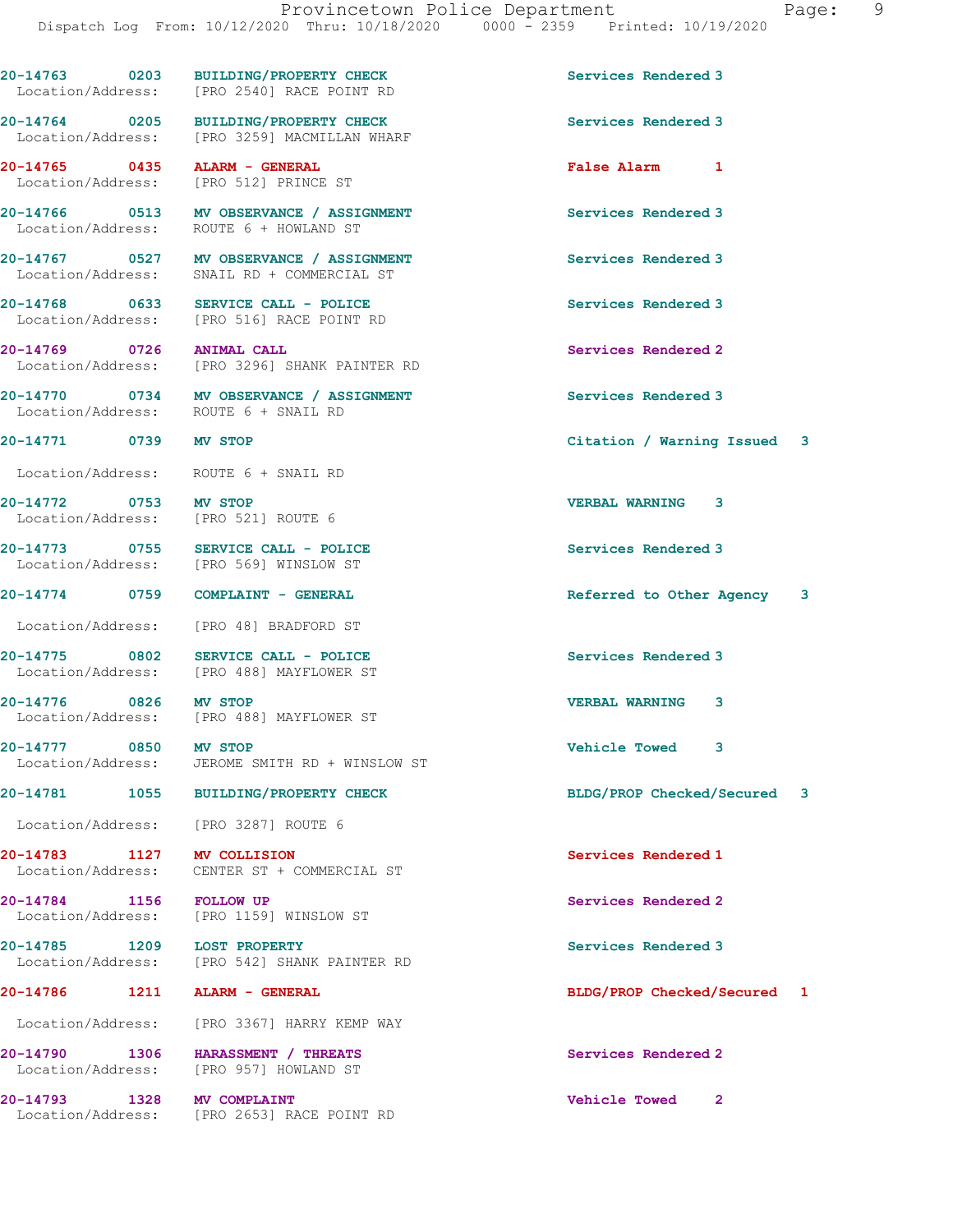|                                                              | 20-14763 0203 BUILDING/PROPERTY CHECK<br>Location/Address: [PRO 2540] RACE POINT RD    | Services Rendered 3                    |
|--------------------------------------------------------------|----------------------------------------------------------------------------------------|----------------------------------------|
|                                                              | 20-14764 0205 BUILDING/PROPERTY CHECK<br>Location/Address: [PRO 3259] MACMILLAN WHARF  | Services Rendered 3                    |
| 20-14765 0435 ALARM - GENERAL                                | Location/Address: [PRO 512] PRINCE ST                                                  | False Alarm 1                          |
|                                                              | 20-14766 0513 MV OBSERVANCE / ASSIGNMENT<br>Location/Address: ROUTE 6 + HOWLAND ST     | Services Rendered 3                    |
|                                                              | 20-14767 0527 MV OBSERVANCE / ASSIGNMENT<br>Location/Address: SNAIL RD + COMMERCIAL ST | Services Rendered 3                    |
|                                                              | 20-14768 0633 SERVICE CALL - POLICE<br>Location/Address: [PRO 516] RACE POINT RD       | Services Rendered 3                    |
|                                                              | 20-14769 0726 ANIMAL CALL<br>Location/Address: [PRO 3296] SHANK PAINTER RD             | Services Rendered 2                    |
|                                                              | 20-14770 0734 MV OBSERVANCE / ASSIGNMENT<br>Location/Address: ROUTE 6 + SNAIL RD       | Services Rendered 3                    |
| 20-14771 0739 MV STOP                                        |                                                                                        | Citation / Warning Issued 3            |
| Location/Address: ROUTE 6 + SNAIL RD                         |                                                                                        |                                        |
| 20-14772 0753 MV STOP<br>Location/Address: [PRO 521] ROUTE 6 |                                                                                        | <b>VERBAL WARNING 3</b>                |
|                                                              | 20-14773 0755 SERVICE CALL - POLICE<br>Location/Address: [PRO 569] WINSLOW ST          | Services Rendered 3                    |
|                                                              | 20-14774 0759 COMPLAINT - GENERAL                                                      | Referred to Other Agency<br>3          |
|                                                              | Location/Address: [PRO 48] BRADFORD ST                                                 |                                        |
|                                                              | 20-14775 0802 SERVICE CALL - POLICE<br>Location/Address: [PRO 488] MAYFLOWER ST        | Services Rendered 3                    |
| 20-14776 0826 MV STOP                                        | Location/Address: [PRO 488] MAYFLOWER ST                                               | <b>VERBAL WARNING</b><br>3             |
| 20-14777 0850<br>Location/Address:                           | <b>MV STOP</b><br>JEROME SMITH RD + WINSLOW ST                                         | Vehicle Towed 3                        |
| 1055<br>20-14781                                             | BUILDING/PROPERTY CHECK                                                                | BLDG/PROP Checked/Secured<br>3         |
| Location/Address:                                            | [PRO 3287] ROUTE 6                                                                     |                                        |
| 20-14783 1127 MV COLLISION<br>Location/Address:              | CENTER ST + COMMERCIAL ST                                                              | Services Rendered 1                    |
| 20-14784 1156                                                | <b>FOLLOW UP</b><br>Location/Address: [PRO 1159] WINSLOW ST                            | Services Rendered 2                    |
| <b>20-14785 1209 LOST PROPERTY</b><br>Location/Address:      | [PRO 542] SHANK PAINTER RD                                                             | Services Rendered 3                    |
| 20-14786 1211                                                | ALARM - GENERAL                                                                        | BLDG/PROP Checked/Secured<br>1         |
| Location/Address:                                            | [PRO 3367] HARRY KEMP WAY                                                              |                                        |
| Location/Address:                                            | 20-14790 1306 HARASSMENT / THREATS<br>[PRO 957] HOWLAND ST                             | Services Rendered 2                    |
| 20-14793<br>1328                                             | <b>MV COMPLAINT</b><br>Location/Address: [PRO 2653] RACE POINT RD                      | <b>Vehicle Towed</b><br>$\overline{2}$ |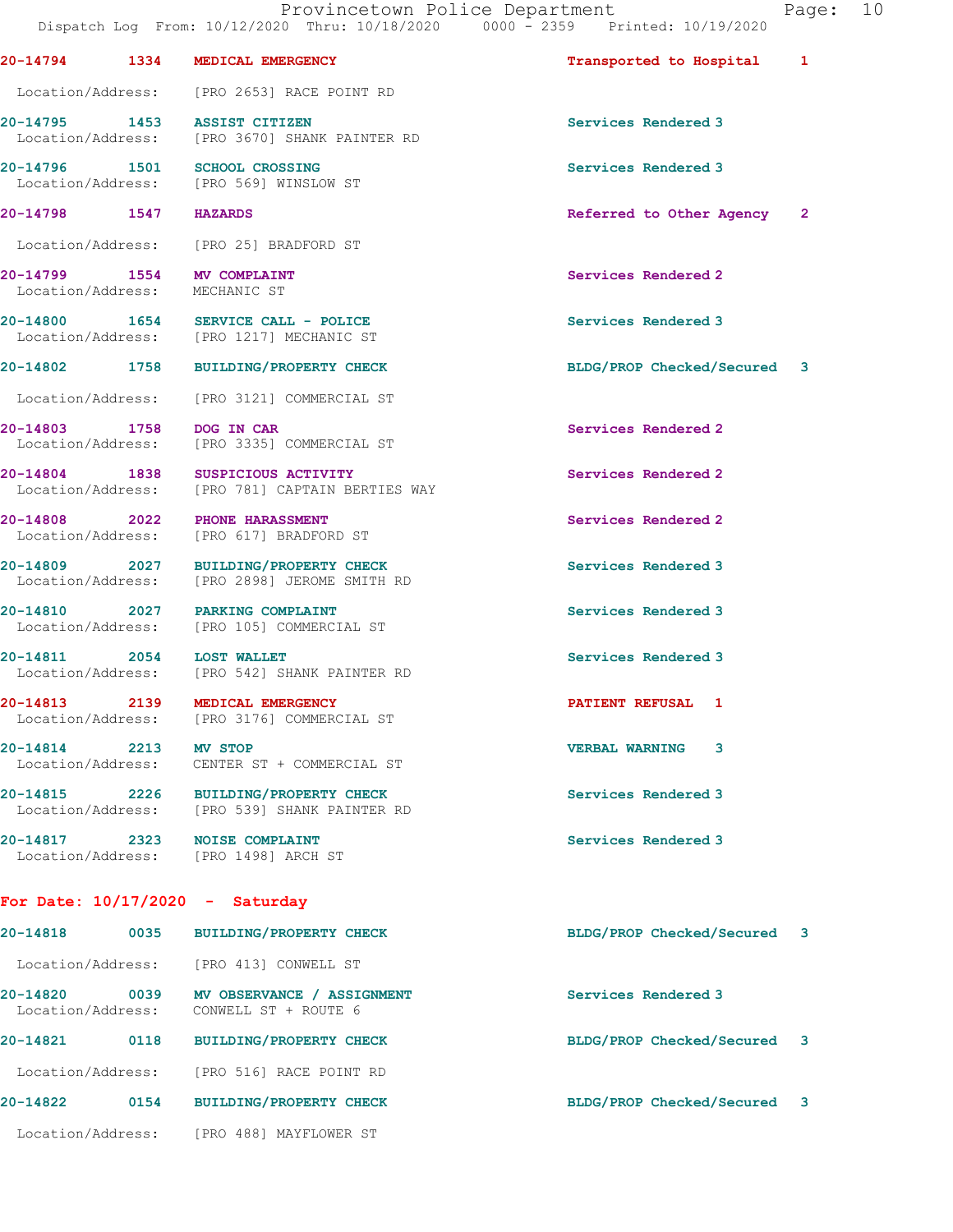20-14794 1334 MEDICAL EMERGENCY Transported to Hospital 1

Location/Address: [PRO 2653] RACE POINT RD

20-14795 1453 ASSIST CITIZEN Services Rendered 3 Location/Address: [PRO 3670] SHANK PAINTER RD 20-14796 1501 SCHOOL CROSSING Services Rendered 3 Location/Address: [PRO 569] WINSLOW ST 20-14798 1547 HAZARDS Referred to Other Agency 2 Location/Address: [PRO 25] BRADFORD ST 20-14799 1554 MV COMPLAINT Services Rendered 2 Location/Address: MECHANIC ST 20-14800 1654 SERVICE CALL - POLICE Services Rendered 3 Location/Address: [PRO 1217] MECHANIC ST 20-14802 1758 BUILDING/PROPERTY CHECK BLDG/PROP Checked/Secured 3 Location/Address: [PRO 3121] COMMERCIAL ST 20-14803 1758 DOG IN CAR Services Rendered 2 Location/Address: [PRO 3335] COMMERCIAL ST 20-14804 1838 SUSPICIOUS ACTIVITY<br>
Location/Address: [PRO 781] CAPTAIN BERTIES WAY [PRO 781] CAPTAIN BERTIES WAY 20-14808 2022 PHONE HARASSMENT Services Rendered 2 Location/Address: [PRO 617] BRADFORD ST 20-14809 2027 BUILDING/PROPERTY CHECK Services Rendered 3 Location/Address: [PRO 2898] JEROME SMITH RD 20-14810 2027 PARKING COMPLAINT Services Rendered 3 Location/Address: [PRO 105] COMMERCIAL ST 20-14811 2054 LOST WALLET<br>
Location/Address: [PRO 542] SHANK PAINTER RD<br>
Services Rendered 3 [PRO 542] SHANK PAINTER RD 20-14813 2139 MEDICAL EMERGENCY PATIENT REFUSAL 1 [PRO 3176] COMMERCIAL ST 20-14814 2213 MV STOP VERBAL WARNING 3 Location/Address: CENTER ST + COMMERCIAL ST 20-14815 2226 BUILDING/PROPERTY CHECK Services Rendered 3<br>
Location/Address: [PRO 539] SHANK PAINTER RD [PRO 539] SHANK PAINTER RD 20-14817 2323 NOISE COMPLAINT Services Rendered 3 Location/Address: [PRO 1498] ARCH ST

## For Date: 10/17/2020 - Saturday

| 20-14818                      | 0035 | <b>BUILDING/PROPERTY CHECK</b>                     | BLDG/PROP Checked/Secured   | $\overline{\mathbf{3}}$ |
|-------------------------------|------|----------------------------------------------------|-----------------------------|-------------------------|
| Location/Address:             |      | [PRO 413] CONWELL ST                               |                             |                         |
| 20-14820<br>Location/Address: | 0039 | MV OBSERVANCE / ASSIGNMENT<br>CONWELL ST + ROUTE 6 | Services Rendered 3         |                         |
| 20-14821                      | 0118 | <b>BUILDING/PROPERTY CHECK</b>                     | BLDG/PROP Checked/Secured 3 |                         |
| Location/Address:             |      | FPRO 5161 RACE POINT RD                            |                             |                         |
| 20-14822                      | 0154 | <b>BUILDING/PROPERTY CHECK</b>                     | BLDG/PROP Checked/Secured 3 |                         |
| Location/Address:             |      | PRO 4881 MAYFLOWER ST                              |                             |                         |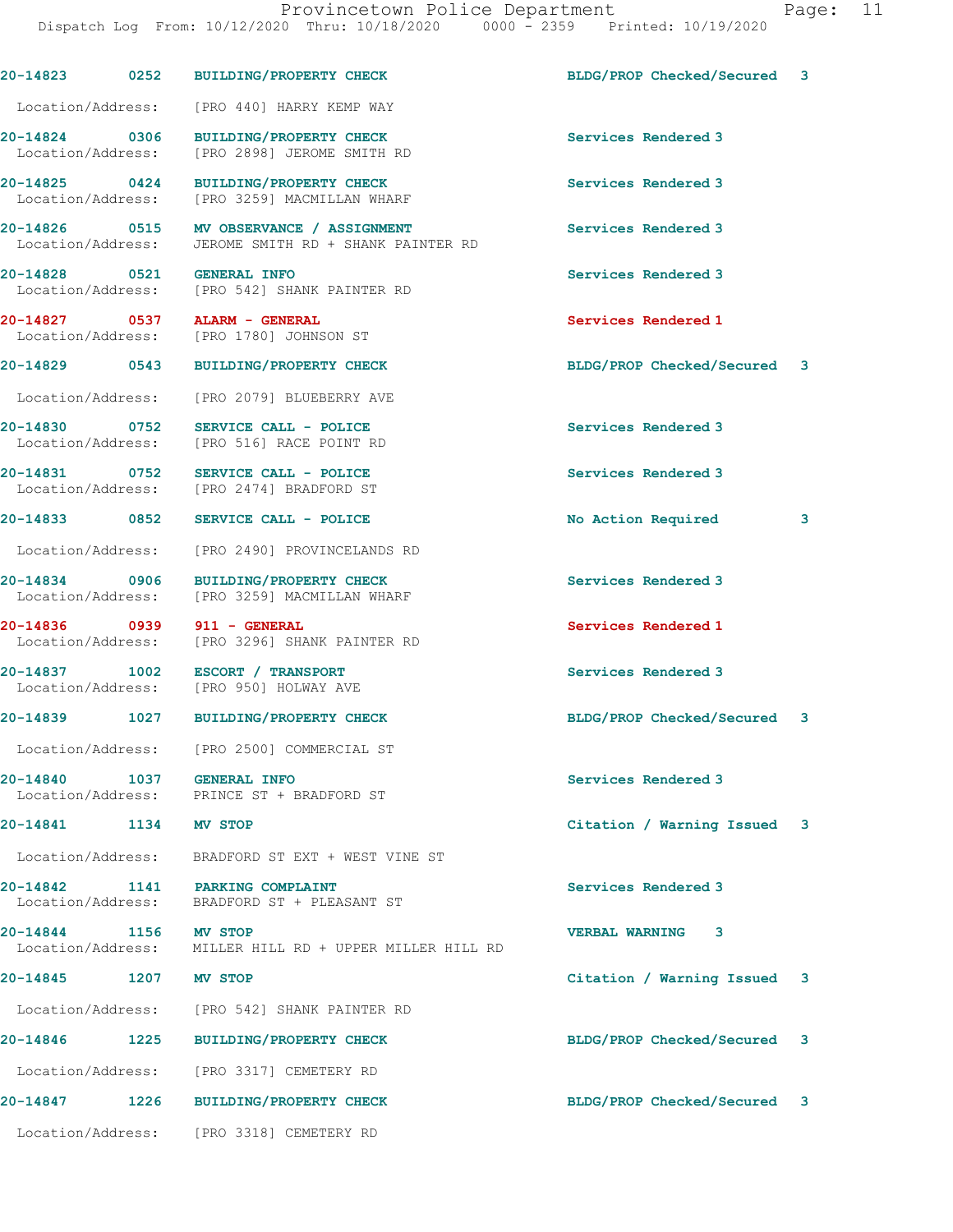|                       |      | 20-14823 0252 BUILDING/PROPERTY CHECK                                                            | BLDG/PROP Checked/Secured 3 |   |
|-----------------------|------|--------------------------------------------------------------------------------------------------|-----------------------------|---|
|                       |      | Location/Address: [PRO 440] HARRY KEMP WAY                                                       |                             |   |
|                       |      | 20-14824 0306 BUILDING/PROPERTY CHECK<br>Location/Address: [PRO 2898] JEROME SMITH RD            | Services Rendered 3         |   |
|                       |      | 20-14825 0424 BUILDING/PROPERTY CHECK<br>Location/Address: [PRO 3259] MACMILLAN WHARF            | Services Rendered 3         |   |
|                       |      | 20-14826 0515 MV OBSERVANCE / ASSIGNMENT<br>Location/Address: JEROME SMITH RD + SHANK PAINTER RD | Services Rendered 3         |   |
|                       |      | 20-14828 0521 GENERAL INFO<br>Location/Address: [PRO 542] SHANK PAINTER RD                       | Services Rendered 3         |   |
|                       |      | 20-14827 0537 ALARM - GENERAL<br>Location/Address: [PRO 1780] JOHNSON ST                         | Services Rendered 1         |   |
|                       |      | 20-14829 0543 BUILDING/PROPERTY CHECK                                                            | BLDG/PROP Checked/Secured 3 |   |
| Location/Address:     |      | [PRO 2079] BLUEBERRY AVE                                                                         |                             |   |
| 20-14830 0752         |      | SERVICE CALL - POLICE<br>Location/Address: [PRO 516] RACE POINT RD                               | Services Rendered 3         |   |
|                       |      | 20-14831 0752 SERVICE CALL - POLICE<br>Location/Address: [PRO 2474] BRADFORD ST                  | Services Rendered 3         |   |
| 20-14833 0852         |      | SERVICE CALL - POLICE                                                                            | No Action Required          | 3 |
|                       |      | Location/Address: [PRO 2490] PROVINCELANDS RD                                                    |                             |   |
|                       |      | 20-14834 0906 BUILDING/PROPERTY CHECK<br>Location/Address: [PRO 3259] MACMILLAN WHARF            | Services Rendered 3         |   |
|                       |      | 20-14836 0939 911 - GENERAL<br>Location/Address: [PRO 3296] SHANK PAINTER RD                     | Services Rendered 1         |   |
|                       |      | 20-14837 1002 ESCORT / TRANSPORT<br>Location/Address: [PRO 950] HOLWAY AVE                       | Services Rendered 3         |   |
|                       |      | 20-14839 1027 BUILDING/PROPERTY CHECK                                                            | BLDG/PROP Checked/Secured 3 |   |
|                       |      | Location/Address: [PRO 2500] COMMERCIAL ST                                                       |                             |   |
| 20-14840              | 1037 | <b>GENERAL INFO</b><br>Location/Address: PRINCE ST + BRADFORD ST                                 | Services Rendered 3         |   |
| 20-14841 1134 MV STOP |      |                                                                                                  | Citation / Warning Issued 3 |   |
|                       |      | Location/Address: BRADFORD ST EXT + WEST VINE ST                                                 |                             |   |
|                       |      | 20-14842 1141 PARKING COMPLAINT<br>Location/Address: BRADFORD ST + PLEASANT ST                   | Services Rendered 3         |   |
| 20-14844 1156 MV STOP |      | Location/Address: MILLER HILL RD + UPPER MILLER HILL RD                                          | <b>VERBAL WARNING 3</b>     |   |
| 20-14845 1207 MV STOP |      |                                                                                                  | Citation / Warning Issued 3 |   |
|                       |      | Location/Address: [PRO 542] SHANK PAINTER RD                                                     |                             |   |
|                       |      | 20-14846 1225 BUILDING/PROPERTY CHECK                                                            | BLDG/PROP Checked/Secured 3 |   |
|                       |      | Location/Address: [PRO 3317] CEMETERY RD                                                         |                             |   |
|                       |      | 20-14847 1226 BUILDING/PROPERTY CHECK                                                            | BLDG/PROP Checked/Secured 3 |   |
|                       |      | Location/Address: [PRO 3318] CEMETERY RD                                                         |                             |   |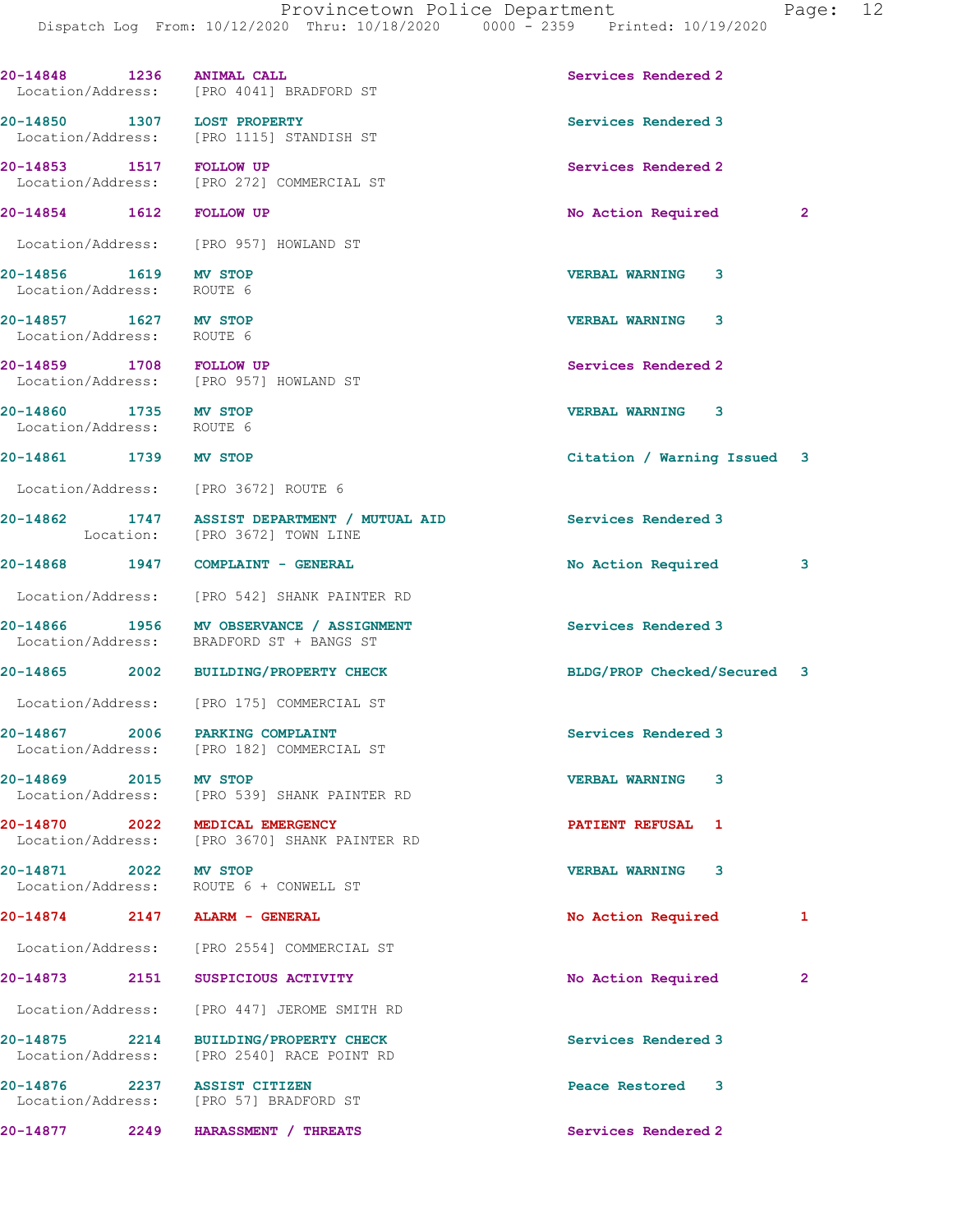|                                                    | Dispatch Log From: 10/12/2020 Thru: 10/18/2020 0000 - 2359 Printed: 10/19/2020       | Provincetown Police Department<br>Page: 12 |
|----------------------------------------------------|--------------------------------------------------------------------------------------|--------------------------------------------|
|                                                    | 20-14848 1236 ANIMAL CALL<br>Location/Address: [PRO 4041] BRADFORD ST                | Services Rendered 2                        |
|                                                    | 20-14850 1307 LOST PROPERTY<br>Location/Address: [PRO 1115] STANDISH ST              | Services Rendered 3                        |
|                                                    | 20-14853 1517 FOLLOW UP<br>Location/Address: [PRO 272] COMMERCIAL ST                 | Services Rendered 2                        |
|                                                    | 20-14854 1612 FOLLOW UP                                                              | No Action Required<br>$\mathbf{2}$         |
|                                                    | Location/Address: [PRO 957] HOWLAND ST                                               |                                            |
| 20-14856 1619 MV STOP<br>Location/Address: ROUTE 6 |                                                                                      | <b>VERBAL WARNING 3</b>                    |
| 20-14857 1627 MV STOP<br>Location/Address: ROUTE 6 |                                                                                      | <b>VERBAL WARNING 3</b>                    |
|                                                    | 20-14859 1708 FOLLOW UP<br>Location/Address: [PRO 957] HOWLAND ST                    | Services Rendered 2                        |
| 20-14860 1735 MV STOP<br>Location/Address: ROUTE 6 |                                                                                      | VERBAL WARNING 3                           |
| 20-14861 1739 MV STOP                              |                                                                                      | Citation / Warning Issued 3                |
|                                                    | Location/Address: [PRO 3672] ROUTE 6                                                 |                                            |
|                                                    | 20-14862 1747 ASSIST DEPARTMENT / MUTUAL AID<br>Location: [PRO 3672] TOWN LINE       | Services Rendered 3                        |
|                                                    | 20-14868 1947 COMPLAINT - GENERAL                                                    | No Action Required<br>3                    |
|                                                    | Location/Address: [PRO 542] SHANK PAINTER RD                                         |                                            |
|                                                    | 20-14866 1956 MV OBSERVANCE / ASSIGNMENT<br>Location/Address: BRADFORD ST + BANGS ST | Services Rendered 3                        |
|                                                    | 20-14865 2002 BUILDING/PROPERTY CHECK                                                | BLDG/PROP Checked/Secured 3                |
| Location/Address:                                  | [PRO 175] COMMERCIAL ST                                                              |                                            |
|                                                    | 20-14867 2006 PARKING COMPLAINT<br>Location/Address: [PRO 182] COMMERCIAL ST         | Services Rendered 3                        |
| 20-14869 2015 MV STOP<br>Location/Address:         | [PRO 539] SHANK PAINTER RD                                                           | <b>VERBAL WARNING</b><br>3                 |
|                                                    | 20-14870 2022 MEDICAL EMERGENCY<br>Location/Address: [PRO 3670] SHANK PAINTER RD     | PATIENT REFUSAL 1                          |
| 20-14871 2022 MV STOP                              | Location/Address: ROUTE 6 + CONWELL ST                                               | <b>VERBAL WARNING</b><br>3                 |
|                                                    |                                                                                      |                                            |

Location/Address: [PRO 2554] COMMERCIAL ST

Location/Address: [PRO 2540] RACE POINT RD

20-14873 2151 SUSPICIOUS ACTIVITY No Action Required 2 Location/Address: [PRO 447] JEROME SMITH RD 20-14875 2214 BUILDING/PROPERTY CHECK Services Rendered 3

20-14876 2237 ASSIST CITIZEN Peace Restored 3 Location/Address: [PRO 57] BRADFORD ST

20-14877 2249 HARASSMENT / THREATS Services Rendered 2

20-14874 2147 ALARM - GENERAL 2001 2002 No Action Required 1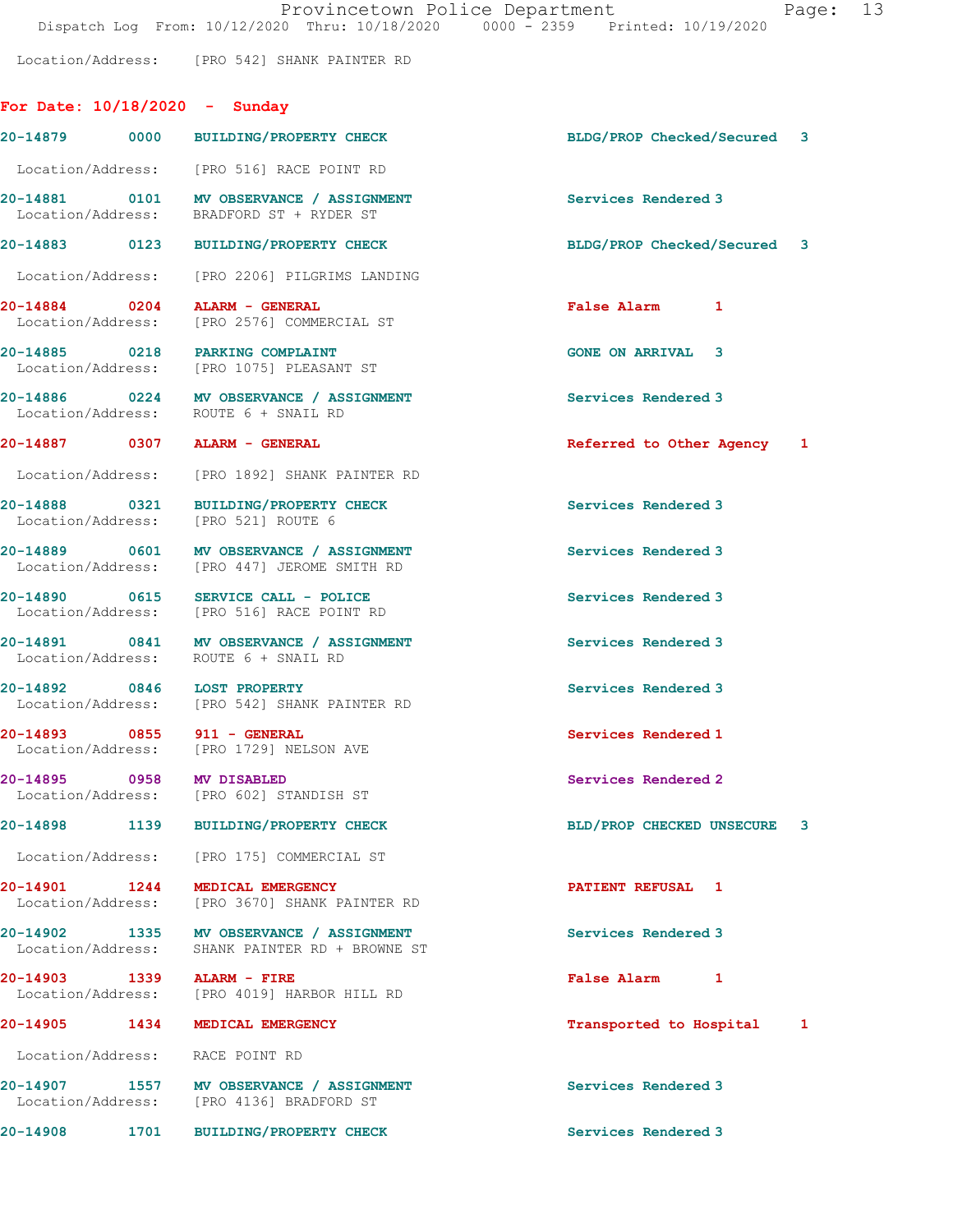Location/Address: [PRO 542] SHANK PAINTER RD

## For Date: 10/18/2020 - Sunday

| BLDG/PROP Checked/Secured<br>3<br>BLDG/PROP Checked/Secured 3 |  |
|---------------------------------------------------------------|--|
|                                                               |  |
|                                                               |  |
|                                                               |  |
|                                                               |  |
|                                                               |  |
|                                                               |  |
|                                                               |  |
|                                                               |  |
| Referred to Other Agency 1                                    |  |
|                                                               |  |
|                                                               |  |
|                                                               |  |
|                                                               |  |
|                                                               |  |
|                                                               |  |
|                                                               |  |
|                                                               |  |
| BLD/PROP CHECKED UNSECURE<br>3                                |  |
|                                                               |  |
|                                                               |  |
|                                                               |  |
|                                                               |  |
| Transported to Hospital<br>1                                  |  |
|                                                               |  |
|                                                               |  |
|                                                               |  |
|                                                               |  |